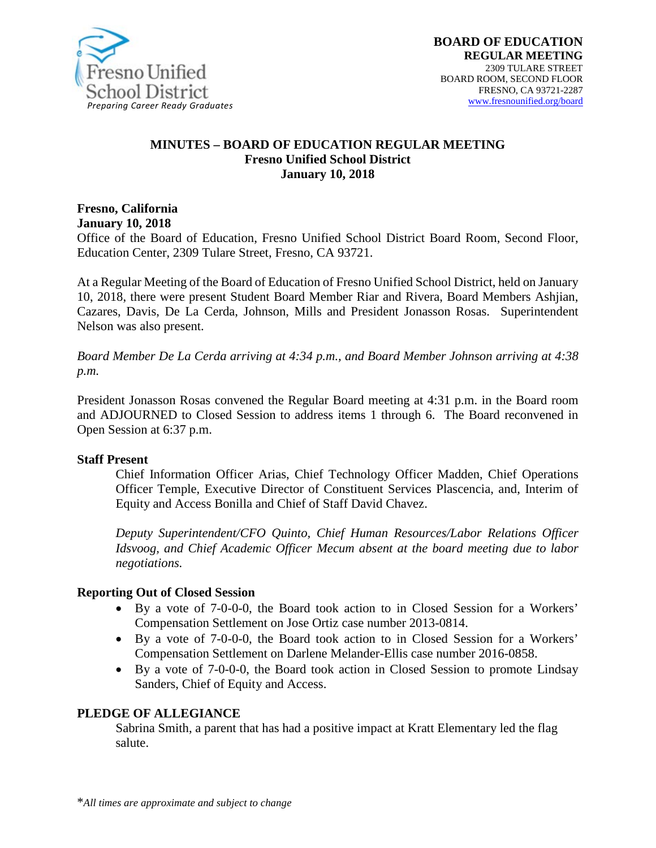

#### **MINUTES – BOARD OF EDUCATION REGULAR MEETING Fresno Unified School District January 10, 2018**

**Fresno, California January 10, 2018**

Office of the Board of Education, Fresno Unified School District Board Room, Second Floor, Education Center, 2309 Tulare Street, Fresno, CA 93721.

At a Regular Meeting of the Board of Education of Fresno Unified School District, held on January 10, 2018, there were present Student Board Member Riar and Rivera, Board Members Ashjian, Cazares, Davis, De La Cerda, Johnson, Mills and President Jonasson Rosas. Superintendent Nelson was also present.

*Board Member De La Cerda arriving at 4:34 p.m., and Board Member Johnson arriving at 4:38 p.m.*

President Jonasson Rosas convened the Regular Board meeting at 4:31 p.m. in the Board room and ADJOURNED to Closed Session to address items 1 through 6. The Board reconvened in Open Session at 6:37 p.m.

#### **Staff Present**

Chief Information Officer Arias, Chief Technology Officer Madden, Chief Operations Officer Temple, Executive Director of Constituent Services Plascencia, and, Interim of Equity and Access Bonilla and Chief of Staff David Chavez.

*Deputy Superintendent/CFO Quinto, Chief Human Resources/Labor Relations Officer Idsvoog, and Chief Academic Officer Mecum absent at the board meeting due to labor negotiations.*

#### **Reporting Out of Closed Session**

- By a vote of 7-0-0-0, the Board took action to in Closed Session for a Workers' Compensation Settlement on Jose Ortiz case number 2013-0814.
- By a vote of 7-0-0-0, the Board took action to in Closed Session for a Workers' Compensation Settlement on Darlene Melander-Ellis case number 2016-0858.
- By a vote of 7-0-0-0, the Board took action in Closed Session to promote Lindsay Sanders, Chief of Equity and Access.

#### **PLEDGE OF ALLEGIANCE**

Sabrina Smith, a parent that has had a positive impact at Kratt Elementary led the flag salute.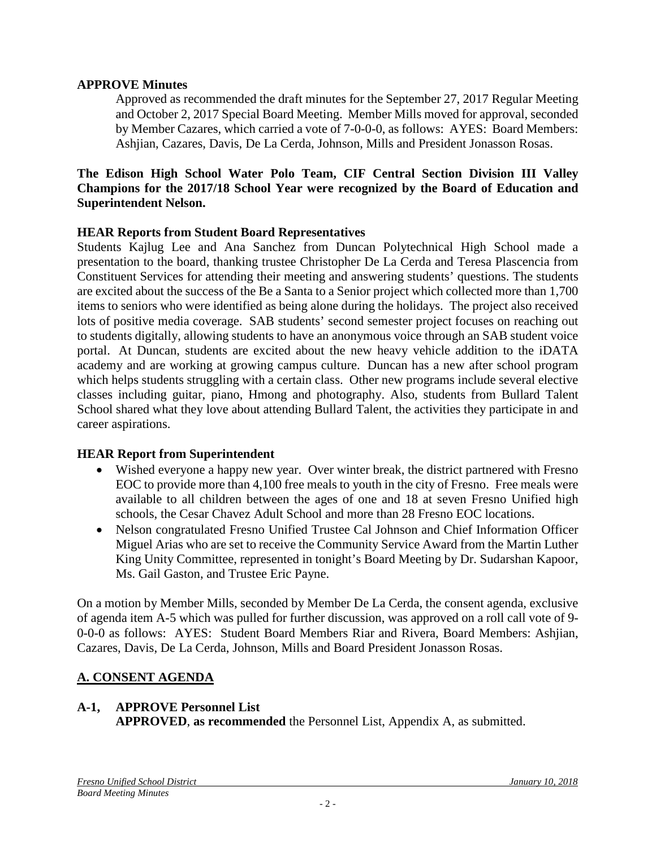### **APPROVE Minutes**

Approved as recommended the draft minutes for the September 27, 2017 Regular Meeting and October 2, 2017 Special Board Meeting. Member Mills moved for approval, seconded by Member Cazares, which carried a vote of 7-0-0-0, as follows: AYES: Board Members: Ashjian, Cazares, Davis, De La Cerda, Johnson, Mills and President Jonasson Rosas.

### **The Edison High School Water Polo Team, CIF Central Section Division III Valley Champions for the 2017/18 School Year were recognized by the Board of Education and Superintendent Nelson.**

## **HEAR Reports from Student Board Representatives**

Students Kajlug Lee and Ana Sanchez from Duncan Polytechnical High School made a presentation to the board, thanking trustee Christopher De La Cerda and Teresa Plascencia from Constituent Services for attending their meeting and answering students' questions. The students are excited about the success of the Be a Santa to a Senior project which collected more than 1,700 items to seniors who were identified as being alone during the holidays. The project also received lots of positive media coverage. SAB students' second semester project focuses on reaching out to students digitally, allowing students to have an anonymous voice through an SAB student voice portal. At Duncan, students are excited about the new heavy vehicle addition to the iDATA academy and are working at growing campus culture. Duncan has a new after school program which helps students struggling with a certain class. Other new programs include several elective classes including guitar, piano, Hmong and photography. Also, students from Bullard Talent School shared what they love about attending Bullard Talent, the activities they participate in and career aspirations.

### **HEAR Report from Superintendent**

- Wished everyone a happy new year. Over winter break, the district partnered with Fresno EOC to provide more than 4,100 free meals to youth in the city of Fresno. Free meals were available to all children between the ages of one and 18 at seven Fresno Unified high schools, the Cesar Chavez Adult School and more than 28 Fresno EOC locations.
- Nelson congratulated Fresno Unified Trustee Cal Johnson and Chief Information Officer Miguel Arias who are set to receive the Community Service Award from the Martin Luther King Unity Committee, represented in tonight's Board Meeting by Dr. Sudarshan Kapoor, Ms. Gail Gaston, and Trustee Eric Payne.

On a motion by Member Mills, seconded by Member De La Cerda, the consent agenda, exclusive of agenda item A-5 which was pulled for further discussion, was approved on a roll call vote of 9- 0-0-0 as follows: AYES: Student Board Members Riar and Rivera, Board Members: Ashjian, Cazares, Davis, De La Cerda, Johnson, Mills and Board President Jonasson Rosas.

# **A. CONSENT AGENDA**

### **A-1, APPROVE Personnel List**

**APPROVED**, **as recommended** the Personnel List, Appendix A, as submitted.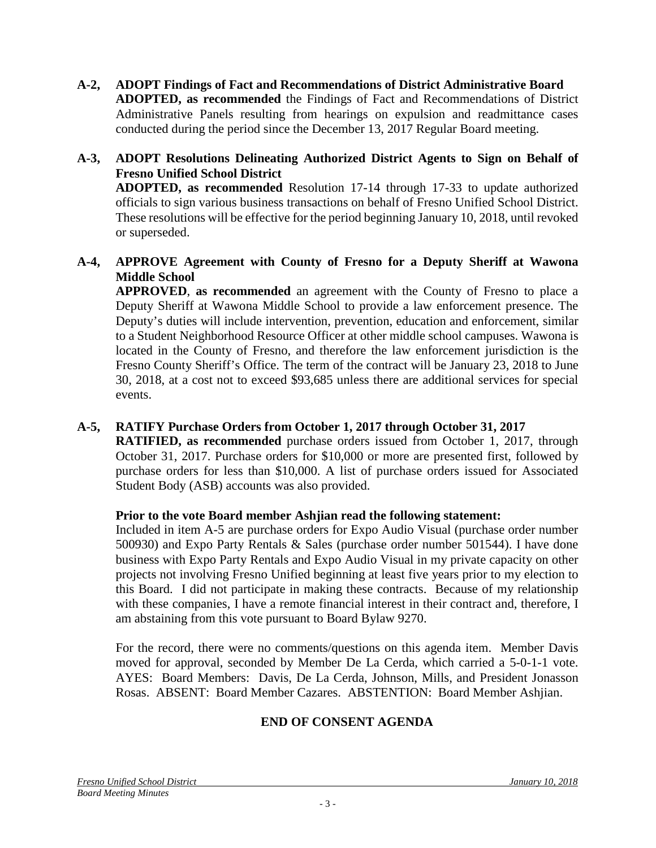- **A-2, ADOPT Findings of Fact and Recommendations of District Administrative Board ADOPTED, as recommended** the Findings of Fact and Recommendations of District Administrative Panels resulting from hearings on expulsion and readmittance cases conducted during the period since the December 13, 2017 Regular Board meeting.
- **A-3, ADOPT Resolutions Delineating Authorized District Agents to Sign on Behalf of Fresno Unified School District ADOPTED, as recommended** Resolution 17-14 through 17-33 to update authorized officials to sign various business transactions on behalf of Fresno Unified School District. These resolutions will be effective for the period beginning January 10, 2018, until revoked or superseded.

### **A-4, APPROVE Agreement with County of Fresno for a Deputy Sheriff at Wawona Middle School**

**APPROVED**, **as recommended** an agreement with the County of Fresno to place a Deputy Sheriff at Wawona Middle School to provide a law enforcement presence. The Deputy's duties will include intervention, prevention, education and enforcement, similar to a Student Neighborhood Resource Officer at other middle school campuses. Wawona is located in the County of Fresno, and therefore the law enforcement jurisdiction is the Fresno County Sheriff's Office. The term of the contract will be January 23, 2018 to June 30, 2018, at a cost not to exceed \$93,685 unless there are additional services for special events.

# **A-5, RATIFY Purchase Orders from October 1, 2017 through October 31, 2017**

**RATIFIED, as recommended** purchase orders issued from October 1, 2017, through October 31, 2017. Purchase orders for \$10,000 or more are presented first, followed by purchase orders for less than \$10,000. A list of purchase orders issued for Associated Student Body (ASB) accounts was also provided.

# **Prior to the vote Board member Ashjian read the following statement:**

Included in item A-5 are purchase orders for Expo Audio Visual (purchase order number 500930) and Expo Party Rentals & Sales (purchase order number 501544). I have done business with Expo Party Rentals and Expo Audio Visual in my private capacity on other projects not involving Fresno Unified beginning at least five years prior to my election to this Board. I did not participate in making these contracts. Because of my relationship with these companies, I have a remote financial interest in their contract and, therefore, I am abstaining from this vote pursuant to Board Bylaw 9270.

For the record, there were no comments/questions on this agenda item. Member Davis moved for approval, seconded by Member De La Cerda, which carried a 5-0-1-1 vote. AYES: Board Members: Davis, De La Cerda, Johnson, Mills, and President Jonasson Rosas. ABSENT: Board Member Cazares. ABSTENTION: Board Member Ashjian.

# **END OF CONSENT AGENDA**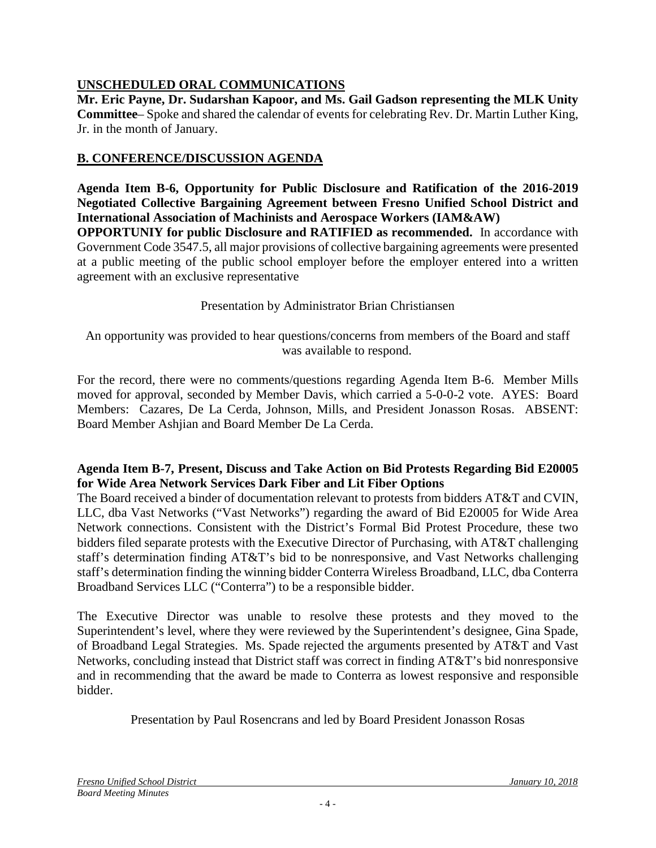# **UNSCHEDULED ORAL COMMUNICATIONS**

**Mr. Eric Payne, Dr. Sudarshan Kapoor, and Ms. Gail Gadson representing the MLK Unity Committee**– Spoke and shared the calendar of events for celebrating Rev. Dr. Martin Luther King, Jr. in the month of January.

# **B. CONFERENCE/DISCUSSION AGENDA**

**Agenda Item B-6, Opportunity for Public Disclosure and Ratification of the 2016-2019 Negotiated Collective Bargaining Agreement between Fresno Unified School District and International Association of Machinists and Aerospace Workers (IAM&AW)**

**OPPORTUNIY for public Disclosure and RATIFIED as recommended.** In accordance with Government Code 3547.5, all major provisions of collective bargaining agreements were presented at a public meeting of the public school employer before the employer entered into a written agreement with an exclusive representative

Presentation by Administrator Brian Christiansen

An opportunity was provided to hear questions/concerns from members of the Board and staff was available to respond.

For the record, there were no comments/questions regarding Agenda Item B-6. Member Mills moved for approval, seconded by Member Davis, which carried a 5-0-0-2 vote. AYES: Board Members: Cazares, De La Cerda, Johnson, Mills, and President Jonasson Rosas. ABSENT: Board Member Ashjian and Board Member De La Cerda.

## **Agenda Item B-7, Present, Discuss and Take Action on Bid Protests Regarding Bid E20005 for Wide Area Network Services Dark Fiber and Lit Fiber Options**

The Board received a binder of documentation relevant to protests from bidders AT&T and CVIN, LLC, dba Vast Networks ("Vast Networks") regarding the award of Bid E20005 for Wide Area Network connections. Consistent with the District's Formal Bid Protest Procedure, these two bidders filed separate protests with the Executive Director of Purchasing, with AT&T challenging staff's determination finding AT&T's bid to be nonresponsive, and Vast Networks challenging staff's determination finding the winning bidder Conterra Wireless Broadband, LLC, dba Conterra Broadband Services LLC ("Conterra") to be a responsible bidder.

The Executive Director was unable to resolve these protests and they moved to the Superintendent's level, where they were reviewed by the Superintendent's designee, Gina Spade, of Broadband Legal Strategies. Ms. Spade rejected the arguments presented by AT&T and Vast Networks, concluding instead that District staff was correct in finding AT&T's bid nonresponsive and in recommending that the award be made to Conterra as lowest responsive and responsible bidder.

Presentation by Paul Rosencrans and led by Board President Jonasson Rosas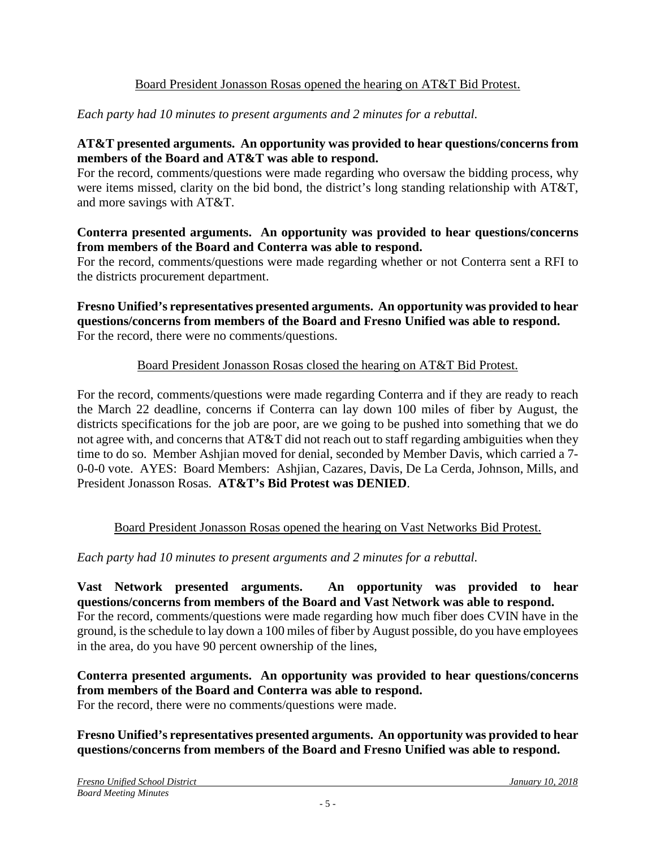## Board President Jonasson Rosas opened the hearing on AT&T Bid Protest.

## *Each party had 10 minutes to present arguments and 2 minutes for a rebuttal.*

## **AT&T presented arguments. An opportunity was provided to hear questions/concerns from members of the Board and AT&T was able to respond.**

For the record, comments/questions were made regarding who oversaw the bidding process, why were items missed, clarity on the bid bond, the district's long standing relationship with AT&T, and more savings with AT&T.

#### **Conterra presented arguments. An opportunity was provided to hear questions/concerns from members of the Board and Conterra was able to respond.**

For the record, comments/questions were made regarding whether or not Conterra sent a RFI to the districts procurement department.

### **Fresno Unified's representatives presented arguments. An opportunity was provided to hear questions/concerns from members of the Board and Fresno Unified was able to respond.** For the record, there were no comments/questions.

## Board President Jonasson Rosas closed the hearing on AT&T Bid Protest.

For the record, comments/questions were made regarding Conterra and if they are ready to reach the March 22 deadline, concerns if Conterra can lay down 100 miles of fiber by August, the districts specifications for the job are poor, are we going to be pushed into something that we do not agree with, and concerns that AT&T did not reach out to staff regarding ambiguities when they time to do so. Member Ashjian moved for denial, seconded by Member Davis, which carried a 7- 0-0-0 vote. AYES: Board Members: Ashjian, Cazares, Davis, De La Cerda, Johnson, Mills, and President Jonasson Rosas. **AT&T's Bid Protest was DENIED**.

# Board President Jonasson Rosas opened the hearing on Vast Networks Bid Protest.

### *Each party had 10 minutes to present arguments and 2 minutes for a rebuttal.*

**Vast Network presented arguments. An opportunity was provided to hear questions/concerns from members of the Board and Vast Network was able to respond.** For the record, comments/questions were made regarding how much fiber does CVIN have in the ground, is the schedule to lay down a 100 miles of fiber by August possible, do you have employees in the area, do you have 90 percent ownership of the lines,

**Conterra presented arguments. An opportunity was provided to hear questions/concerns from members of the Board and Conterra was able to respond.** For the record, there were no comments/questions were made.

## **Fresno Unified's representatives presented arguments. An opportunity was provided to hear questions/concerns from members of the Board and Fresno Unified was able to respond.**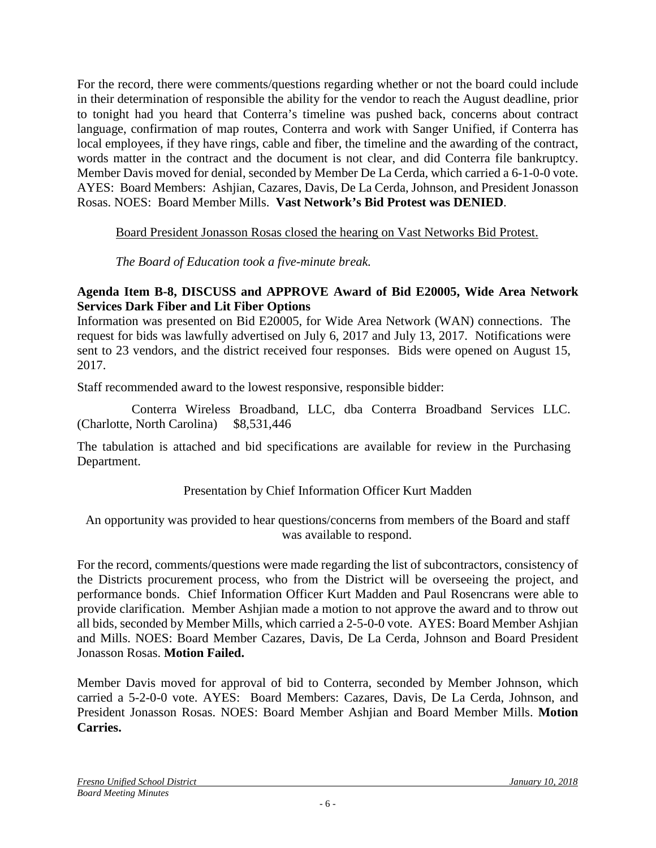For the record, there were comments/questions regarding whether or not the board could include in their determination of responsible the ability for the vendor to reach the August deadline, prior to tonight had you heard that Conterra's timeline was pushed back, concerns about contract language, confirmation of map routes, Conterra and work with Sanger Unified, if Conterra has local employees, if they have rings, cable and fiber, the timeline and the awarding of the contract, words matter in the contract and the document is not clear, and did Conterra file bankruptcy. Member Davis moved for denial, seconded by Member De La Cerda, which carried a 6-1-0-0 vote. AYES: Board Members: Ashjian, Cazares, Davis, De La Cerda, Johnson, and President Jonasson Rosas. NOES: Board Member Mills. **Vast Network's Bid Protest was DENIED**.

## Board President Jonasson Rosas closed the hearing on Vast Networks Bid Protest.

*The Board of Education took a five-minute break.*

## **Agenda Item B-8, DISCUSS and APPROVE Award of Bid E20005, Wide Area Network Services Dark Fiber and Lit Fiber Options**

Information was presented on Bid E20005, for Wide Area Network (WAN) connections. The request for bids was lawfully advertised on July 6, 2017 and July 13, 2017. Notifications were sent to 23 vendors, and the district received four responses. Bids were opened on August 15, 2017.

Staff recommended award to the lowest responsive, responsible bidder:

 Conterra Wireless Broadband, LLC, dba Conterra Broadband Services LLC. (Charlotte, North Carolina) \$8,531,446

The tabulation is attached and bid specifications are available for review in the Purchasing Department.

# Presentation by Chief Information Officer Kurt Madden

An opportunity was provided to hear questions/concerns from members of the Board and staff was available to respond.

For the record, comments/questions were made regarding the list of subcontractors, consistency of the Districts procurement process, who from the District will be overseeing the project, and performance bonds. Chief Information Officer Kurt Madden and Paul Rosencrans were able to provide clarification. Member Ashjian made a motion to not approve the award and to throw out all bids, seconded by Member Mills, which carried a 2-5-0-0 vote. AYES: Board Member Ashjian and Mills. NOES: Board Member Cazares, Davis, De La Cerda, Johnson and Board President Jonasson Rosas. **Motion Failed.**

Member Davis moved for approval of bid to Conterra, seconded by Member Johnson, which carried a 5-2-0-0 vote. AYES: Board Members: Cazares, Davis, De La Cerda, Johnson, and President Jonasson Rosas. NOES: Board Member Ashjian and Board Member Mills. **Motion Carries.**